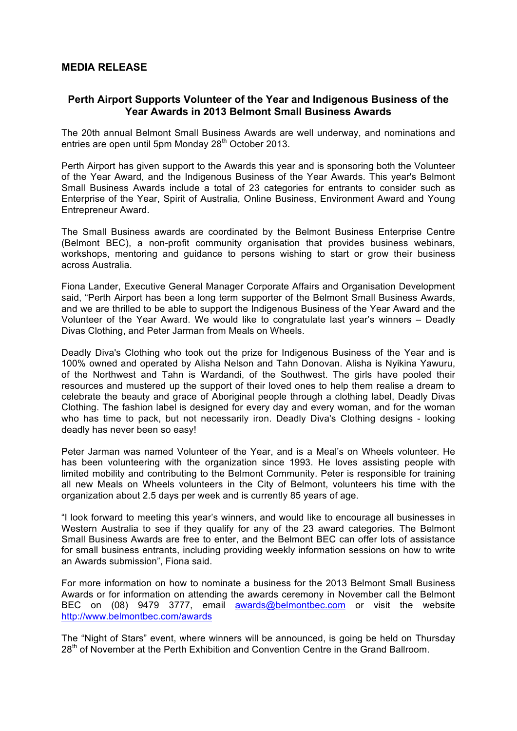## **MEDIA RELEASE**

## **Perth Airport Supports Volunteer of the Year and Indigenous Business of the Year Awards in 2013 Belmont Small Business Awards**

The 20th annual Belmont Small Business Awards are well underway, and nominations and entries are open until 5pm Monday 28<sup>th</sup> October 2013.

Perth Airport has given support to the Awards this year and is sponsoring both the Volunteer of the Year Award, and the Indigenous Business of the Year Awards. This year's Belmont Small Business Awards include a total of 23 categories for entrants to consider such as Enterprise of the Year, Spirit of Australia, Online Business, Environment Award and Young Entrepreneur Award.

The Small Business awards are coordinated by the Belmont Business Enterprise Centre (Belmont BEC), a non-profit community organisation that provides business webinars, workshops, mentoring and guidance to persons wishing to start or grow their business across Australia.

Fiona Lander, Executive General Manager Corporate Affairs and Organisation Development said, "Perth Airport has been a long term supporter of the Belmont Small Business Awards, and we are thrilled to be able to support the Indigenous Business of the Year Award and the Volunteer of the Year Award. We would like to congratulate last year's winners – Deadly Divas Clothing, and Peter Jarman from Meals on Wheels.

Deadly Diva's Clothing who took out the prize for Indigenous Business of the Year and is 100% owned and operated by Alisha Nelson and Tahn Donovan. Alisha is Nyikina Yawuru, of the Northwest and Tahn is Wardandi, of the Southwest. The girls have pooled their resources and mustered up the support of their loved ones to help them realise a dream to celebrate the beauty and grace of Aboriginal people through a clothing label, Deadly Divas Clothing. The fashion label is designed for every day and every woman, and for the woman who has time to pack, but not necessarily iron. Deadly Diva's Clothing designs - looking deadly has never been so easy!

Peter Jarman was named Volunteer of the Year, and is a Meal's on Wheels volunteer. He has been volunteering with the organization since 1993. He loves assisting people with limited mobility and contributing to the Belmont Community. Peter is responsible for training all new Meals on Wheels volunteers in the City of Belmont, volunteers his time with the organization about 2.5 days per week and is currently 85 years of age.

"I look forward to meeting this year's winners, and would like to encourage all businesses in Western Australia to see if they qualify for any of the 23 award categories. The Belmont Small Business Awards are free to enter, and the Belmont BEC can offer lots of assistance for small business entrants, including providing weekly information sessions on how to write an Awards submission", Fiona said.

For more information on how to nominate a business for the 2013 Belmont Small Business Awards or for information on attending the awards ceremony in November call the Belmont BEC on (08) 9479 3777, email awards@belmontbec.com or visit the website http://www.belmontbec.com/awards

The "Night of Stars" event, where winners will be announced, is going be held on Thursday 28<sup>th</sup> of November at the Perth Exhibition and Convention Centre in the Grand Ballroom.